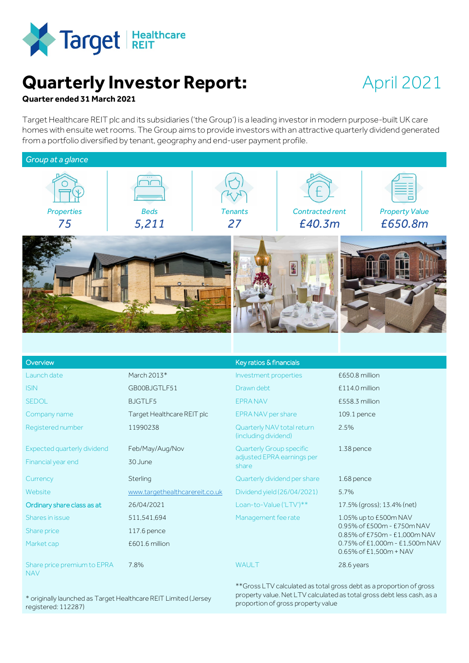

# **Quarterly Investor Report:**

# April 2021

# **Quarter ended 31 March 2021**

Target Healthcare REIT plc and its subsidiaries ('the Group') is a leading investor in modern purpose-built UK care homes with ensuite wet rooms. The Group aims to provide investors with an attractive quarterly dividend generated from a portfolio diversified by tenant, geography and end-user payment profile.



| Overview                                  |                                | Key ratios & financials                            |                                                            |  |
|-------------------------------------------|--------------------------------|----------------------------------------------------|------------------------------------------------------------|--|
| Launch date                               | March 2013*                    | Investment properties                              | £650.8 million                                             |  |
| <b>ISIN</b>                               | GB00BJGTLF51                   | Drawn debt                                         | £114.0 million                                             |  |
| <b>SEDOL</b>                              | <b>BJGTLF5</b>                 | <b>EPRA NAV</b>                                    | £558.3 million                                             |  |
| Company name                              | Target Healthcare REIT plc     | EPRA NAV per share                                 | 109.1 pence                                                |  |
| Registered number                         | 11990238                       | Quarterly NAV total return<br>(including dividend) | 2.5%                                                       |  |
| <b>Expected quarterly dividend</b>        | Feb/May/Aug/Nov                | <b>Quarterly Group specific</b>                    | 1.38 pence                                                 |  |
| Financial year end                        | 30 June                        | adjusted EPRA earnings per<br>share                |                                                            |  |
| Currency                                  | Sterling                       | Quarterly dividend per share                       | 1.68 pence                                                 |  |
| Website                                   | www.targethealthcarereit.co.uk | Dividend yield (26/04/2021)                        | 5.7%                                                       |  |
| Ordinary share class as at                | 26/04/2021                     | Loan-to-Value ('LTV')**                            | 17.5% (gross); 13.4% (net)                                 |  |
| Shares in issue                           | 511,541,694                    | Management fee rate                                | 1.05% up to £500m NAV                                      |  |
| Share price                               | 117.6 pence                    |                                                    | 0.95% of £500m - £750m NAV<br>0.85% of £750m - £1,000m NAV |  |
| Market cap                                | £601.6 million                 |                                                    | 0.75% of £1,000m - £1,500m NAV<br>0.65% of £1,500m + NAV   |  |
| Share price premium to EPRA<br><b>NAV</b> | 7.8%                           | WAULT                                              | 28.6 years                                                 |  |

\* originally launched as Target Healthcare REIT Limited (Jersey registered: 112287)

\*\*Gross LTV calculated as total gross debt as a proportion of gross property value. Net LTV calculated as total gross debt less cash, as a proportion of gross property value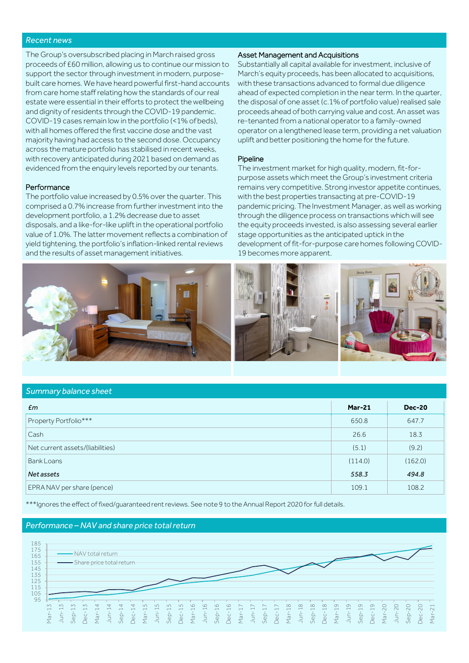# *Recent news*

The Group's oversubscribed placing in March raised gross proceeds of £60 million, allowing us to continue our mission to support the sector through investment in modern, purposebuilt care homes. We have heard powerful first-hand accounts from care home staff relating how the standards of our real estate were essential in their efforts to protect the wellbeing and dignity of residents through the COVID-19 pandemic. COVID-19 cases remain low in the portfolio (<1% of beds), with all homes offered the first vaccine dose and the vast majority having had access to the second dose. Occupancy across the mature portfolio has stabilised in recent weeks, with recovery anticipated during 2021 based on demand as evidenced from the enquiry levels reported by our tenants.

## Performance

The portfolio value increased by 0.5% over the quarter. This comprised a 0.7% increase from further investment into the development portfolio, a 1.2% decrease due to asset disposals, and a like-for-like uplift in the operational portfolio value of 1.0%. The latter movement reflects a combination of yield tightening, the portfolio's inflation-linked rental reviews and the results of asset management initiatives.



## Asset Management and Acquisitions

Substantially all capital available for investment, inclusive of March's equity proceeds, has been allocated to acquisitions, with these transactions advanced to formal due diligence ahead of expected completion in the near term. In the quarter, the disposal of one asset (c.1% of portfolio value) realised sale proceeds ahead of both carrying value and cost. An asset was re-tenanted from a national operator to a family-owned operator on a lengthened lease term, providing a net valuation uplift and better positioning the home for the future.

#### **Pipeline**

The investment market for high quality, modern, fit-forpurpose assets which meet the Group's investment criteria remains very competitive. Strong investor appetite continues, with the best properties transacting at pre-COVID-19 pandemic pricing. The Investment Manager, as well as working through the diligence process on transactions which will see the equity proceeds invested, is also assessing several earlier stage opportunities as the anticipated uptick in the development of fit-for-purpose care homes following COVID-19 becomes more apparent.



# *Summary balance sheet*

| Em                               | <b>Mar-21</b> | <b>Dec-20</b> |
|----------------------------------|---------------|---------------|
| Property Portfolio***            | 650.8         | 647.7         |
| Cash                             | 26.6          | 18.3          |
| Net current assets/(liabilities) | (5.1)         | (9.2)         |
| Bank Loans                       | (114.0)       | (162.0)       |
| Net assets                       | 558.3         | 494.8         |
| EPRA NAV per share (pence)       | 109.1         | 108.2         |

\*\*\*Ignores the effect of fixed/guaranteed rent reviews. See note 9 to the Annual Report 2020 for full details.

#### *Performance – NAV and share price total return*